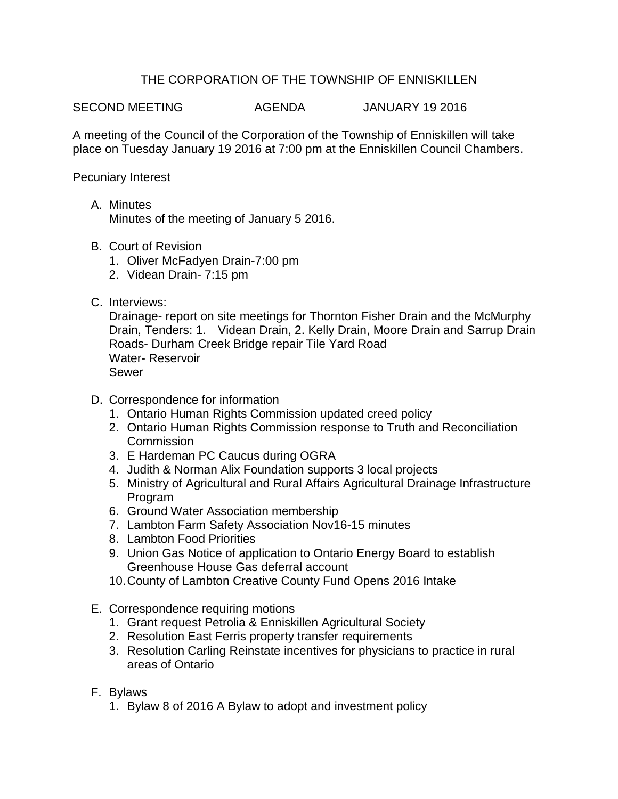## THE CORPORATION OF THE TOWNSHIP OF ENNISKILLEN

SECOND MEETING AGENDA JANUARY 19 2016

A meeting of the Council of the Corporation of the Township of Enniskillen will take place on Tuesday January 19 2016 at 7:00 pm at the Enniskillen Council Chambers.

Pecuniary Interest

- A. Minutes Minutes of the meeting of January 5 2016.
- B. Court of Revision
	- 1. Oliver McFadyen Drain-7:00 pm
	- 2. Videan Drain- 7:15 pm
- C. Interviews:

Drainage- report on site meetings for Thornton Fisher Drain and the McMurphy Drain, Tenders: 1. Videan Drain, 2. Kelly Drain, Moore Drain and Sarrup Drain Roads- Durham Creek Bridge repair Tile Yard Road Water- Reservoir Sewer

- D. Correspondence for information
	- 1. Ontario Human Rights Commission updated creed policy
	- 2. Ontario Human Rights Commission response to Truth and Reconciliation Commission
	- 3. E Hardeman PC Caucus during OGRA
	- 4. Judith & Norman Alix Foundation supports 3 local projects
	- 5. Ministry of Agricultural and Rural Affairs Agricultural Drainage Infrastructure Program
	- 6. Ground Water Association membership
	- 7. Lambton Farm Safety Association Nov16-15 minutes
	- 8. Lambton Food Priorities
	- 9. Union Gas Notice of application to Ontario Energy Board to establish Greenhouse House Gas deferral account
	- 10.County of Lambton Creative County Fund Opens 2016 Intake
- E. Correspondence requiring motions
	- 1. Grant request Petrolia & Enniskillen Agricultural Society
	- 2. Resolution East Ferris property transfer requirements
	- 3. Resolution Carling Reinstate incentives for physicians to practice in rural areas of Ontario
- F. Bylaws
	- 1. Bylaw 8 of 2016 A Bylaw to adopt and investment policy